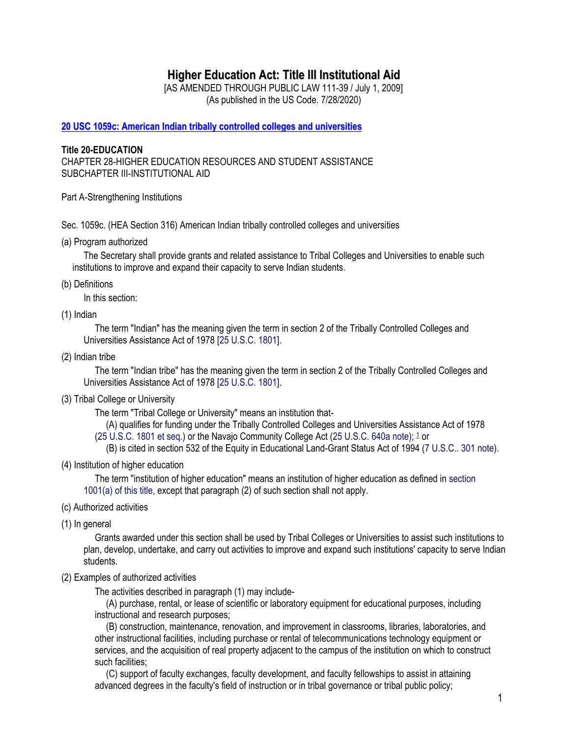# **Higher Education Act: Title III Institutional Aid**

[AS AMENDED THROUGH PUBLIC LAW 111-39 / July 1, 2009] (As published in the US Code. 7/28/2020)

**20 USC 1059c: American Indian tribally controlled colleges and [universities](https://uscode.house.gov/view.xhtml?req=20+U.S.C.+1059c&f=treesort&fq=true&num=8&hl=true&edition=prelim&granuleId=USC-prelim-title20-section1059c)**

### **Title 20-EDUCATION**

CHAPTER 28-HIGHER EDUCATION RESOURCES AND STUDENT ASSISTANCE SUBCHAPTER III-INSTITUTIONAL AID

Part A-Strengthening Institutions

Sec. 1059c. (HEA Section 316) American Indian tribally controlled colleges and universities

(a) Program authorized

The Secretary shall provide grants and related assistance to Tribal Colleges and Universities to enable such institutions to improve and expand their capacity to serve Indian students.

(b) Definitions

In this section:

(1) Indian

The term "Indian" has the meaning given the term in section 2 of the Tribally Controlled Colleges and Universities Assistance Act of 1978 [25 U.S.C. 1801].

(2) Indian tribe

The term "Indian tribe" has the meaning given the term in section 2 of the Tribally Controlled Colleges and Universities Assistance Act of 1978 [25 U.S.C. 1801].

(3) Tribal College or University

The term "Tribal College or University" means an institution that-

(A) qualifies for funding under the Tribally Controlled Colleges and Universities Assistance Act of 1978 (25 U.S.C. 1801 et seq.) or the Navajo Community College Act (25 U.S.C. 640a note); [1](https://uscode.house.gov/view.xhtml?req=20+U.S.C.+1059c&f=treesort&fq=true&num=8&hl=true&edition=prelim&granuleId=USC-prelim-title20-section1059c#1059c_1_target) or

(B) is cited in section 532 of the Equity in Educational Land-Grant Status Act of 1994 (7 U.S.C.. 301 note).

(4) Institution of higher education

The term "institution of higher education" means an institution of higher education as defined in section 1001(a) of this title, except that paragraph (2) of such section shall not apply.

- (c) Authorized activities
- (1) In general

Grants awarded under this section shall be used by Tribal Colleges or Universities to assist such institutions to plan, develop, undertake, and carry out activities to improve and expand such institutions' capacity to serve Indian students.

(2) Examples of authorized activities

The activities described in paragraph (1) may include-

(A) purchase, rental, or lease of scientific or laboratory equipment for educational purposes, including instructional and research purposes;

(B) construction, maintenance, renovation, and improvement in classrooms, libraries, laboratories, and other instructional facilities, including purchase or rental of telecommunications technology equipment or services, and the acquisition of real property adjacent to the campus of the institution on which to construct such facilities;

(C) support of faculty exchanges, faculty development, and faculty fellowships to assist in attaining advanced degrees in the faculty's field of instruction or in tribal governance or tribal public policy;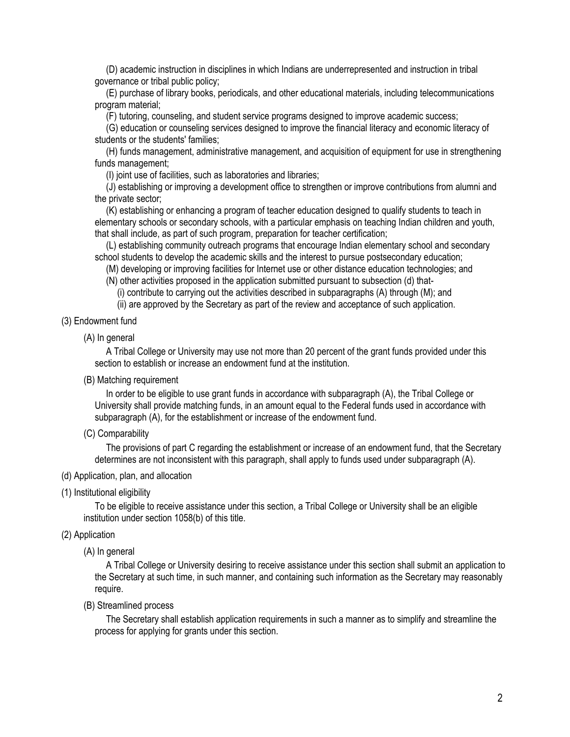(D) academic instruction in disciplines in which Indians are underrepresented and instruction in tribal governance or tribal public policy;

(E) purchase of library books, periodicals, and other educational materials, including telecommunications program material;

(F) tutoring, counseling, and student service programs designed to improve academic success;

(G) education or counseling services designed to improve the financial literacy and economic literacy of students or the students' families;

(H) funds management, administrative management, and acquisition of equipment for use in strengthening funds management;

(I) joint use of facilities, such as laboratories and libraries;

(J) establishing or improving a development office to strengthen or improve contributions from alumni and the private sector;

(K) establishing or enhancing a program of teacher education designed to qualify students to teach in elementary schools or secondary schools, with a particular emphasis on teaching Indian children and youth, that shall include, as part of such program, preparation for teacher certification;

(L) establishing community outreach programs that encourage Indian elementary school and secondary school students to develop the academic skills and the interest to pursue postsecondary education;

(M) developing or improving facilities for Internet use or other distance education technologies; and (N) other activities proposed in the application submitted pursuant to subsection (d) that-

(i) contribute to carrying out the activities described in subparagraphs (A) through (M); and

(ii) are approved by the Secretary as part of the review and acceptance of such application.

#### (3) Endowment fund

(A) In general

A Tribal College or University may use not more than 20 percent of the grant funds provided under this section to establish or increase an endowment fund at the institution.

(B) Matching requirement

In order to be eligible to use grant funds in accordance with subparagraph (A), the Tribal College or University shall provide matching funds, in an amount equal to the Federal funds used in accordance with subparagraph (A), for the establishment or increase of the endowment fund.

(C) Comparability

The provisions of part C regarding the establishment or increase of an endowment fund, that the Secretary determines are not inconsistent with this paragraph, shall apply to funds used under subparagraph (A).

#### (d) Application, plan, and allocation

(1) Institutional eligibility

To be eligible to receive assistance under this section, a Tribal College or University shall be an eligible institution under section 1058(b) of this title.

## (2) Application

(A) In general

A Tribal College or University desiring to receive assistance under this section shall submit an application to the Secretary at such time, in such manner, and containing such information as the Secretary may reasonably require.

(B) Streamlined process

The Secretary shall establish application requirements in such a manner as to simplify and streamline the process for applying for grants under this section.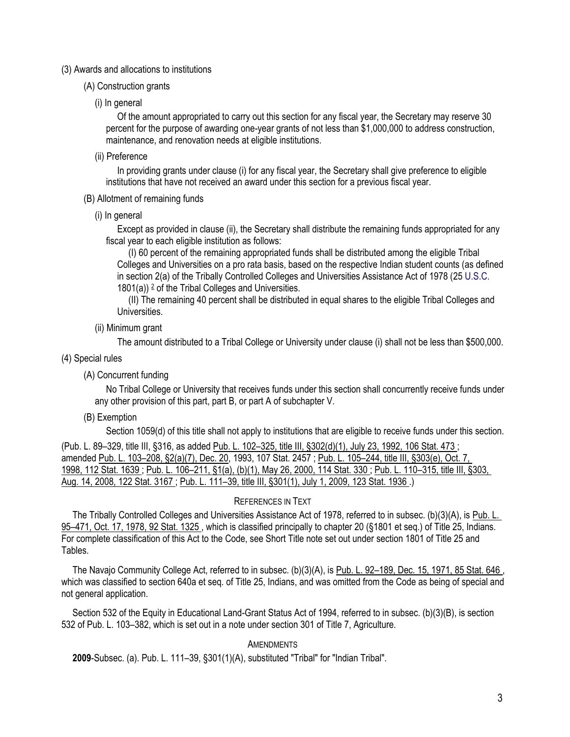#### (3) Awards and allocations to institutions

- (A) Construction grants
	- (i) In general

Of the amount appropriated to carry out this section for any fiscal year, the Secretary may reserve 30 percent for the purpose of awarding one-year grants of not less than \$1,000,000 to address construction, maintenance, and renovation needs at eligible institutions.

(ii) Preference

In providing grants under clause (i) for any fiscal year, the Secretary shall give preference to eligible institutions that have not received an award under this section for a previous fiscal year.

- (B) Allotment of remaining funds
	- (i) In general

Except as provided in clause (ii), the Secretary shall distribute the remaining funds appropriated for any fiscal year to each eligible institution as follows:

(I) 60 percent of the remaining appropriated funds shall be distributed among the eligible Tribal Colleges and Universities on a pro rata basis, based on the respective Indian student counts (as defined in section 2(a) of the Tribally Controlled Colleges and Universities Assistance Act of 1978 (25 U.S.C. 1801(a)) [2](https://uscode.house.gov/view.xhtml?req=20+U.S.C.+1059c&f=treesort&fq=true&num=8&hl=true&edition=prelim&granuleId=USC-prelim-title20-section1059c#1059c_2_target) of the Tribal Colleges and Universities.

(II) The remaining 40 percent shall be distributed in equal shares to the eligible Tribal Colleges and Universities.

(ii) Minimum grant

The amount distributed to a Tribal College or University under clause (i) shall not be less than \$500,000.

- (4) Special rules
	- (A) Concurrent funding

No Tribal College or University that receives funds under this section shall concurrently receive funds under any other provision of this part, part B, or part A of subchapter V.

(B) Exemption

Section 1059(d) of this title shall not apply to institutions that are eligible to receive funds under this section.

(Pub. L. 89–329, title III, §316, as added Pub. L. 102–325, [title III, §302\(d\)\(1\), July 23, 1992,](https://uscode.house.gov/statviewer.htm?volume=106&page=473) 106 Stat. 473 ; amended Pub. L. 103–208, [§2\(a\)\(7\), Dec. 20,](https://uscode.house.gov/statviewer.htm?volume=107&page=2457) 1993, 107 Stat. 2457 ; Pub. L. 105–244, [title III, §303\(e\), Oct. 7,](https://uscode.house.gov/statviewer.htm?volume=112&page=1639)  1998, [112 Stat. 1639](https://uscode.house.gov/statviewer.htm?volume=112&page=1639) ; Pub. L. 106–211, [§1\(a\), \(b\)\(1\), May 26, 2000,](https://uscode.house.gov/statviewer.htm?volume=114&page=330) 114 Stat. 330 ; Pub. L. 110–315, [title III, §303,](https://uscode.house.gov/statviewer.htm?volume=122&page=3167)  Aug. 14, 2008, [122 Stat. 3167](https://uscode.house.gov/statviewer.htm?volume=122&page=3167) ; Pub. L. 111–39, [title III, §301\(1\), July 1, 2009,](https://uscode.house.gov/statviewer.htm?volume=123&page=1936) 123 Stat. 1936 .)

#### REFERENCES IN TEXT

The Tribally Controlled Colleges and Universities Assistance Act of 1978, referred to in subsec. (b)(3)(A), is [Pub. L.](https://uscode.house.gov/statviewer.htm?volume=92&page=1325)  95–471, [Oct. 17, 1978,](https://uscode.house.gov/statviewer.htm?volume=92&page=1325) 92 Stat. 1325, which is classified principally to chapter 20 (§1801 et seq.) of Title 25, Indians. For complete classification of this Act to the Code, see Short Title note set out under section 1801 of Title 25 and Tables.

The Navajo Community College Act, referred to in subsec. (b)(3)(A), is Pub. L. 92–189, [Dec. 15, 1971,](https://uscode.house.gov/statviewer.htm?volume=85&page=646) 85 Stat. 646, which was classified to section 640a et seq. of Title 25, Indians, and was omitted from the Code as being of special and not general application.

Section 532 of the Equity in Educational Land-Grant Status Act of 1994, referred to in subsec. (b)(3)(B), is section 532 of Pub. L. 103–382, which is set out in a note under section 301 of Title 7, Agriculture.

#### **AMENDMENTS**

**2009**-Subsec. (a). Pub. L. 111–39, §301(1)(A), substituted "Tribal" for "Indian Tribal".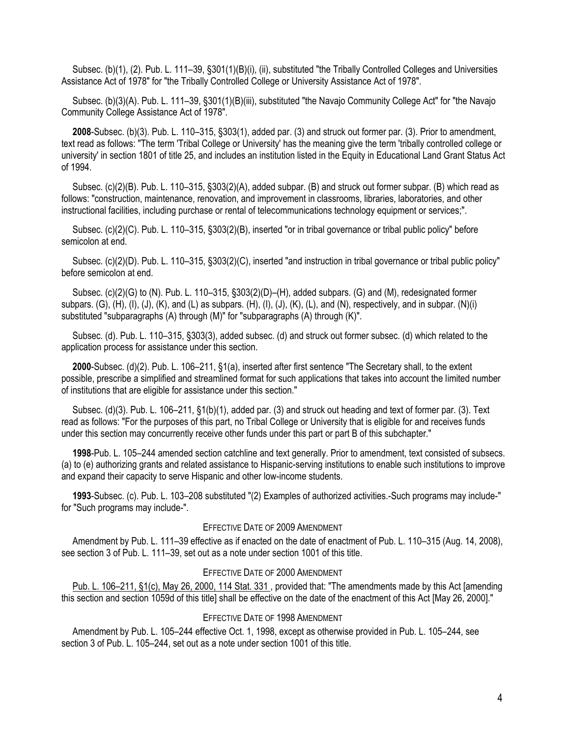Subsec. (b)(1), (2). Pub. L. 111–39, §301(1)(B)(i), (ii), substituted "the Tribally Controlled Colleges and Universities Assistance Act of 1978" for "the Tribally Controlled College or University Assistance Act of 1978".

Subsec. (b)(3)(A). Pub. L. 111–39, §301(1)(B)(iii), substituted "the Navajo Community College Act" for "the Navajo Community College Assistance Act of 1978".

**2008**-Subsec. (b)(3). Pub. L. 110–315, §303(1), added par. (3) and struck out former par. (3). Prior to amendment, text read as follows: "The term 'Tribal College or University' has the meaning give the term 'tribally controlled college or university' in section 1801 of title 25, and includes an institution listed in the Equity in Educational Land Grant Status Act of 1994.

Subsec. (c)(2)(B). Pub. L. 110–315, §303(2)(A), added subpar. (B) and struck out former subpar. (B) which read as follows: "construction, maintenance, renovation, and improvement in classrooms, libraries, laboratories, and other instructional facilities, including purchase or rental of telecommunications technology equipment or services;".

Subsec. (c)(2)(C). Pub. L. 110–315, §303(2)(B), inserted "or in tribal governance or tribal public policy" before semicolon at end.

Subsec. (c)(2)(D). Pub. L. 110-315, §303(2)(C), inserted "and instruction in tribal governance or tribal public policy" before semicolon at end.

Subsec. (c)(2)(G) to (N). Pub. L. 110–315, §303(2)(D)–(H), added subpars. (G) and (M), redesignated former subpars.  $(G)$ ,  $(H)$ ,  $(I)$ ,  $(J)$ ,  $(K)$ , and  $(L)$  as subpars.  $(H)$ ,  $(I)$ ,  $(J)$ ,  $(K)$ ,  $(L)$ , and  $(N)$ , respectively, and in subpar.  $(N)(i)$ substituted "subparagraphs (A) through (M)" for "subparagraphs (A) through (K)".

Subsec. (d). Pub. L. 110–315, §303(3), added subsec. (d) and struck out former subsec. (d) which related to the application process for assistance under this section.

**2000**-Subsec. (d)(2). Pub. L. 106–211, §1(a), inserted after first sentence "The Secretary shall, to the extent possible, prescribe a simplified and streamlined format for such applications that takes into account the limited number of institutions that are eligible for assistance under this section."

Subsec. (d)(3). Pub. L. 106–211, §1(b)(1), added par. (3) and struck out heading and text of former par. (3). Text read as follows: "For the purposes of this part, no Tribal College or University that is eligible for and receives funds under this section may concurrently receive other funds under this part or part B of this subchapter."

**1998**-Pub. L. 105–244 amended section catchline and text generally. Prior to amendment, text consisted of subsecs. (a) to (e) authorizing grants and related assistance to Hispanic-serving institutions to enable such institutions to improve and expand their capacity to serve Hispanic and other low-income students.

**1993**-Subsec. (c). Pub. L. 103–208 substituted "(2) Examples of authorized activities.-Such programs may include-" for "Such programs may include-".

### EFFECTIVE DATE OF 2009 AMENDMENT

Amendment by Pub. L. 111–39 effective as if enacted on the date of enactment of Pub. L. 110–315 (Aug. 14, 2008), see section 3 of Pub. L. 111–39, set out as a note under section 1001 of this title.

#### EFFECTIVE DATE OF 2000 AMENDMENT

Pub. L. 106–211, [§1\(c\), May 26, 2000,](https://uscode.house.gov/statviewer.htm?volume=114&page=331) 114 Stat. 331 , provided that: "The amendments made by this Act [amending this section and section 1059d of this title] shall be effective on the date of the enactment of this Act [May 26, 2000]."

#### EFFECTIVE DATE OF 1998 AMENDMENT

Amendment by Pub. L. 105–244 effective Oct. 1, 1998, except as otherwise provided in Pub. L. 105–244, see section 3 of Pub. L. 105–244, set out as a note under section 1001 of this title.